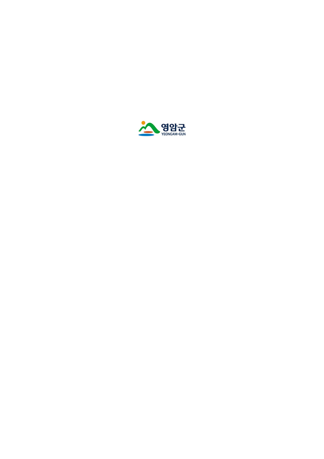